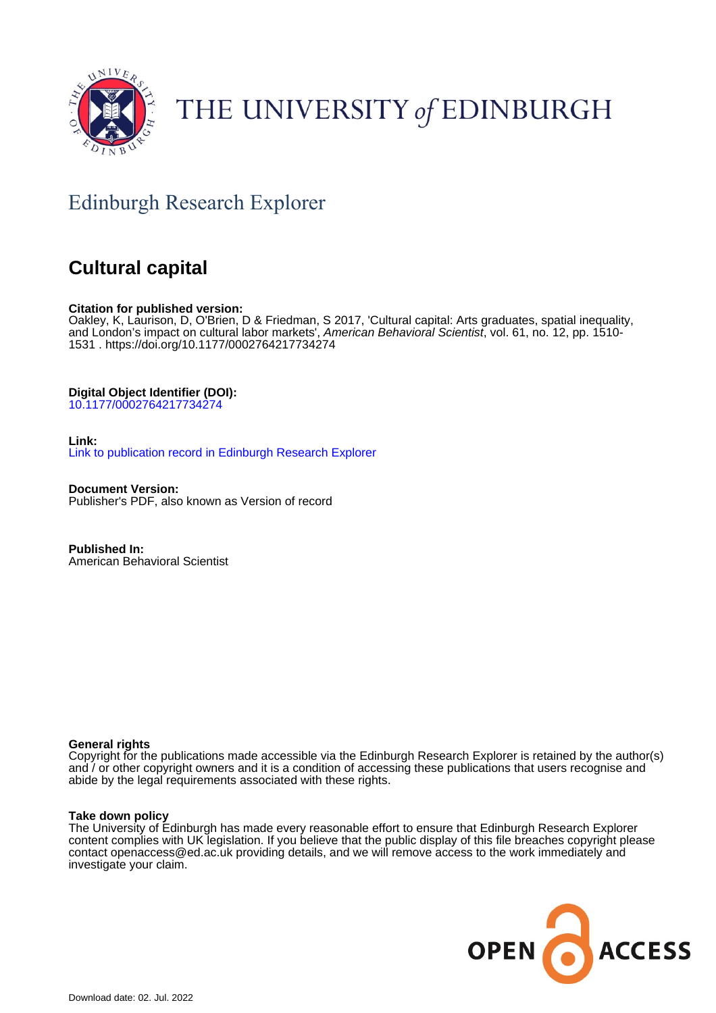

# THE UNIVERSITY of EDINBURGH

# Edinburgh Research Explorer

# **Cultural capital**

# **Citation for published version:**

Oakley, K, Laurison, D, O'Brien, D & Friedman, S 2017, 'Cultural capital: Arts graduates, spatial inequality, and London's impact on cultural labor markets', American Behavioral Scientist, vol. 61, no. 12, pp. 1510-1531 . <https://doi.org/10.1177/0002764217734274>

# **Digital Object Identifier (DOI):**

[10.1177/0002764217734274](https://doi.org/10.1177/0002764217734274)

# **Link:**

[Link to publication record in Edinburgh Research Explorer](https://www.research.ed.ac.uk/en/publications/9bdd6d32-c98e-41fd-a58c-c908b7b940ac)

**Document Version:** Publisher's PDF, also known as Version of record

**Published In:** American Behavioral Scientist

### **General rights**

Copyright for the publications made accessible via the Edinburgh Research Explorer is retained by the author(s) and / or other copyright owners and it is a condition of accessing these publications that users recognise and abide by the legal requirements associated with these rights.

### **Take down policy**

The University of Edinburgh has made every reasonable effort to ensure that Edinburgh Research Explorer content complies with UK legislation. If you believe that the public display of this file breaches copyright please contact openaccess@ed.ac.uk providing details, and we will remove access to the work immediately and investigate your claim.

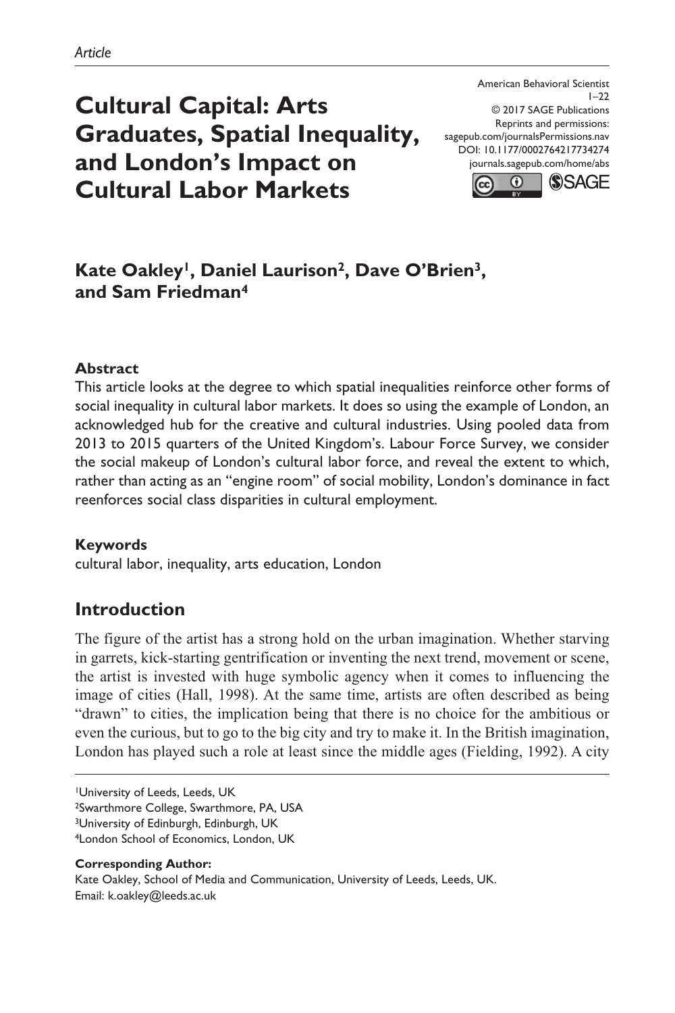# **Cultural Capital: Arts Graduates, Spatial Inequality, and London's Impact on Cultural Labor Markets**

DOI: 10.1177/0002764217734274 American Behavioral Scientist  $1 - 22$ © 2017 SAGE Publications Reprints and permissions: [sagepub.com/journalsPermissions.nav](https://us.sagepub.com/en-us/journals-permissions) [journals.sagepub.com/home/abs](https://journals.sagepub.com/home/abs)



# Kate Oakley<sup>1</sup>, Daniel Laurison<sup>2</sup>, Dave O'Brien<sup>3</sup>, **and Sam Friedman4**

### **Abstract**

This article looks at the degree to which spatial inequalities reinforce other forms of social inequality in cultural labor markets. It does so using the example of London, an acknowledged hub for the creative and cultural industries. Using pooled data from 2013 to 2015 quarters of the United Kingdom's. Labour Force Survey, we consider the social makeup of London's cultural labor force, and reveal the extent to which, rather than acting as an "engine room" of social mobility, London's dominance in fact reenforces social class disparities in cultural employment.

#### **Keywords**

cultural labor, inequality, arts education, London

# **Introduction**

The figure of the artist has a strong hold on the urban imagination. Whether starving in garrets, kick-starting gentrification or inventing the next trend, movement or scene, the artist is invested with huge symbolic agency when it comes to influencing the image of cities (Hall, 1998). At the same time, artists are often described as being "drawn" to cities, the implication being that there is no choice for the ambitious or even the curious, but to go to the big city and try to make it. In the British imagination, London has played such a role at least since the middle ages (Fielding, 1992). A city

**Corresponding Author:** Kate Oakley, School of Media and Communication, University of Leeds, Leeds, UK. Email: k.oakley@leeds.ac.uk

<sup>1</sup>University of Leeds, Leeds, UK

<sup>2</sup>Swarthmore College, Swarthmore, PA, USA

<sup>3</sup>University of Edinburgh, Edinburgh, UK

<sup>4</sup>London School of Economics, London, UK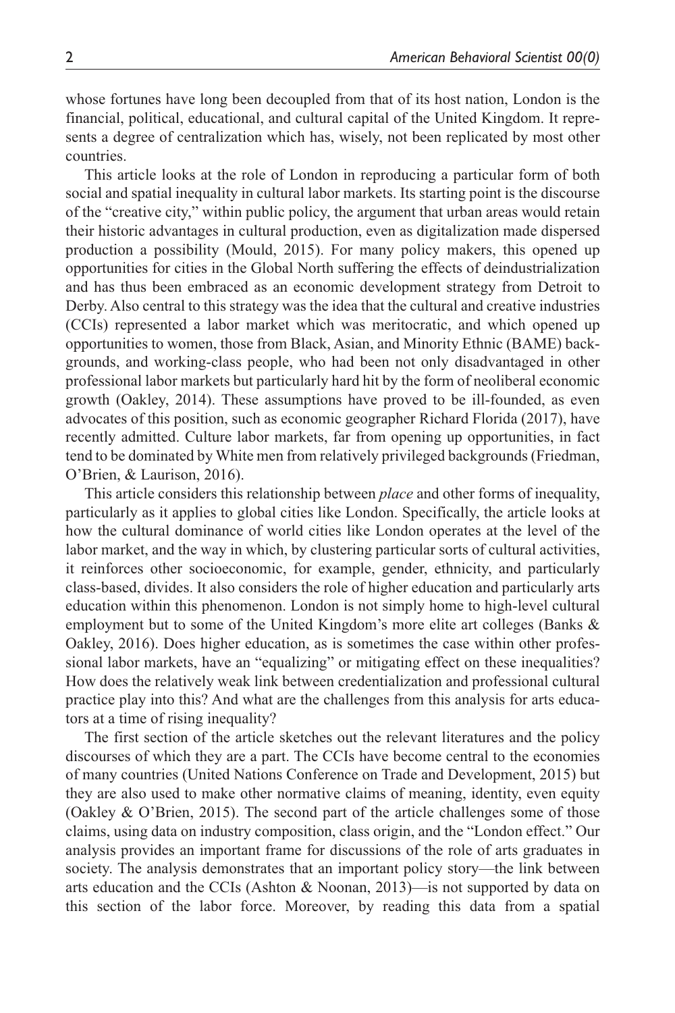whose fortunes have long been decoupled from that of its host nation, London is the financial, political, educational, and cultural capital of the United Kingdom. It represents a degree of centralization which has, wisely, not been replicated by most other countries.

This article looks at the role of London in reproducing a particular form of both social and spatial inequality in cultural labor markets. Its starting point is the discourse of the "creative city," within public policy, the argument that urban areas would retain their historic advantages in cultural production, even as digitalization made dispersed production a possibility (Mould, 2015). For many policy makers, this opened up opportunities for cities in the Global North suffering the effects of deindustrialization and has thus been embraced as an economic development strategy from Detroit to Derby. Also central to this strategy was the idea that the cultural and creative industries (CCIs) represented a labor market which was meritocratic, and which opened up opportunities to women, those from Black, Asian, and Minority Ethnic (BAME) backgrounds, and working-class people, who had been not only disadvantaged in other professional labor markets but particularly hard hit by the form of neoliberal economic growth (Oakley, 2014). These assumptions have proved to be ill-founded, as even advocates of this position, such as economic geographer Richard Florida (2017), have recently admitted. Culture labor markets, far from opening up opportunities, in fact tend to be dominated by White men from relatively privileged backgrounds (Friedman, O'Brien, & Laurison, 2016).

This article considers this relationship between *place* and other forms of inequality, particularly as it applies to global cities like London. Specifically, the article looks at how the cultural dominance of world cities like London operates at the level of the labor market, and the way in which, by clustering particular sorts of cultural activities, it reinforces other socioeconomic, for example, gender, ethnicity, and particularly class-based, divides. It also considers the role of higher education and particularly arts education within this phenomenon. London is not simply home to high-level cultural employment but to some of the United Kingdom's more elite art colleges (Banks & Oakley, 2016). Does higher education, as is sometimes the case within other professional labor markets, have an "equalizing" or mitigating effect on these inequalities? How does the relatively weak link between credentialization and professional cultural practice play into this? And what are the challenges from this analysis for arts educators at a time of rising inequality?

The first section of the article sketches out the relevant literatures and the policy discourses of which they are a part. The CCIs have become central to the economies of many countries (United Nations Conference on Trade and Development, 2015) but they are also used to make other normative claims of meaning, identity, even equity (Oakley & O'Brien, 2015). The second part of the article challenges some of those claims, using data on industry composition, class origin, and the "London effect." Our analysis provides an important frame for discussions of the role of arts graduates in society. The analysis demonstrates that an important policy story—the link between arts education and the CCIs (Ashton & Noonan, 2013)—is not supported by data on this section of the labor force. Moreover, by reading this data from a spatial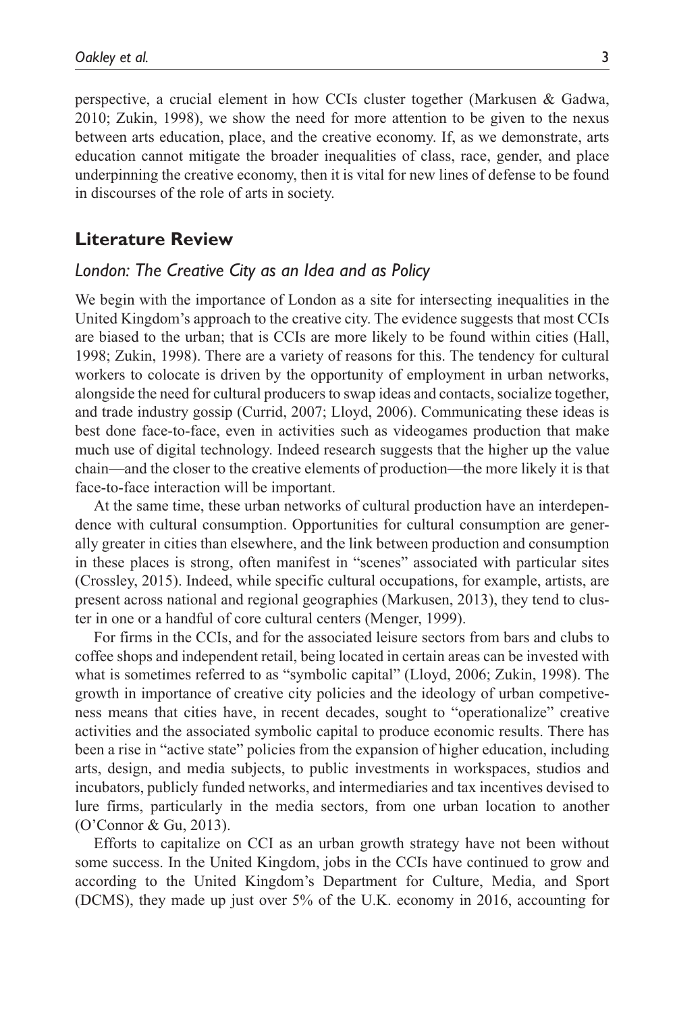perspective, a crucial element in how CCIs cluster together (Markusen & Gadwa, 2010; Zukin, 1998), we show the need for more attention to be given to the nexus between arts education, place, and the creative economy. If, as we demonstrate, arts education cannot mitigate the broader inequalities of class, race, gender, and place underpinning the creative economy, then it is vital for new lines of defense to be found in discourses of the role of arts in society.

#### **Literature Review**

#### *London: The Creative City as an Idea and as Policy*

We begin with the importance of London as a site for intersecting inequalities in the United Kingdom's approach to the creative city. The evidence suggests that most CCIs are biased to the urban; that is CCIs are more likely to be found within cities (Hall, 1998; Zukin, 1998). There are a variety of reasons for this. The tendency for cultural workers to colocate is driven by the opportunity of employment in urban networks, alongside the need for cultural producers to swap ideas and contacts, socialize together, and trade industry gossip (Currid, 2007; Lloyd, 2006). Communicating these ideas is best done face-to-face, even in activities such as videogames production that make much use of digital technology. Indeed research suggests that the higher up the value chain—and the closer to the creative elements of production—the more likely it is that face-to-face interaction will be important.

At the same time, these urban networks of cultural production have an interdependence with cultural consumption. Opportunities for cultural consumption are generally greater in cities than elsewhere, and the link between production and consumption in these places is strong, often manifest in "scenes" associated with particular sites (Crossley, 2015). Indeed, while specific cultural occupations, for example, artists, are present across national and regional geographies (Markusen, 2013), they tend to cluster in one or a handful of core cultural centers (Menger, 1999).

For firms in the CCIs, and for the associated leisure sectors from bars and clubs to coffee shops and independent retail, being located in certain areas can be invested with what is sometimes referred to as "symbolic capital" (Lloyd, 2006; Zukin, 1998). The growth in importance of creative city policies and the ideology of urban competiveness means that cities have, in recent decades, sought to "operationalize" creative activities and the associated symbolic capital to produce economic results. There has been a rise in "active state" policies from the expansion of higher education, including arts, design, and media subjects, to public investments in workspaces, studios and incubators, publicly funded networks, and intermediaries and tax incentives devised to lure firms, particularly in the media sectors, from one urban location to another (O'Connor & Gu, 2013).

Efforts to capitalize on CCI as an urban growth strategy have not been without some success. In the United Kingdom, jobs in the CCIs have continued to grow and according to the United Kingdom's Department for Culture, Media, and Sport (DCMS), they made up just over 5% of the U.K. economy in 2016, accounting for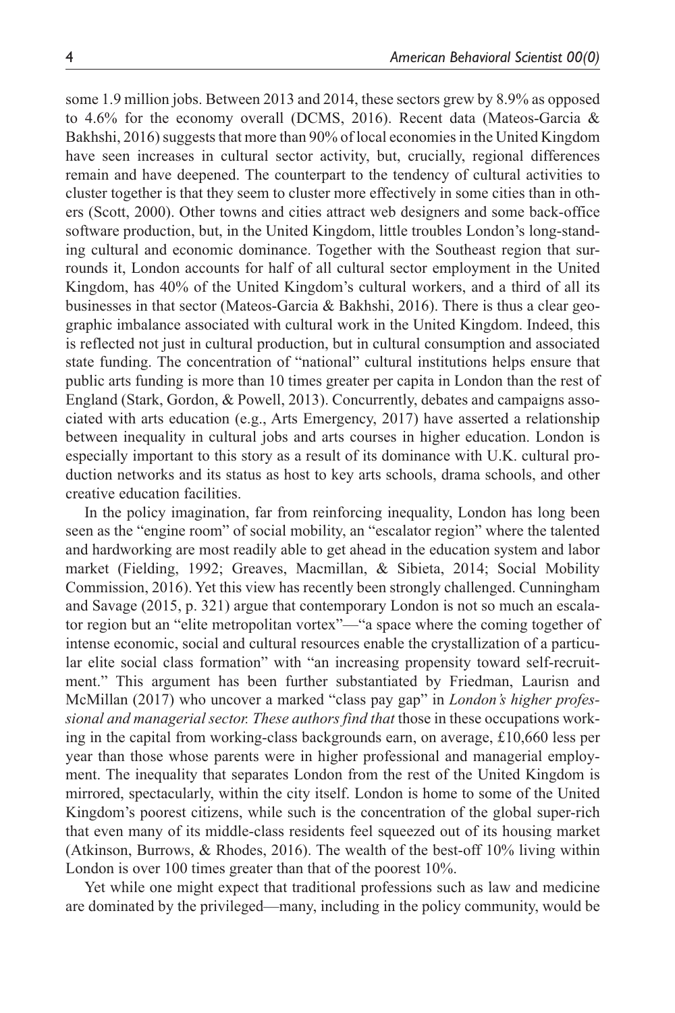some 1.9 million jobs. Between 2013 and 2014, these sectors grew by 8.9% as opposed to 4.6% for the economy overall (DCMS, 2016). Recent data (Mateos-Garcia & Bakhshi, 2016) suggests that more than 90% of local economies in the United Kingdom have seen increases in cultural sector activity, but, crucially, regional differences remain and have deepened. The counterpart to the tendency of cultural activities to cluster together is that they seem to cluster more effectively in some cities than in others (Scott, 2000). Other towns and cities attract web designers and some back-office software production, but, in the United Kingdom, little troubles London's long-standing cultural and economic dominance. Together with the Southeast region that surrounds it, London accounts for half of all cultural sector employment in the United Kingdom, has 40% of the United Kingdom's cultural workers, and a third of all its businesses in that sector (Mateos-Garcia & Bakhshi, 2016). There is thus a clear geographic imbalance associated with cultural work in the United Kingdom. Indeed, this is reflected not just in cultural production, but in cultural consumption and associated state funding. The concentration of "national" cultural institutions helps ensure that public arts funding is more than 10 times greater per capita in London than the rest of England (Stark, Gordon, & Powell, 2013). Concurrently, debates and campaigns associated with arts education (e.g., Arts Emergency, 2017) have asserted a relationship between inequality in cultural jobs and arts courses in higher education. London is especially important to this story as a result of its dominance with U.K. cultural production networks and its status as host to key arts schools, drama schools, and other creative education facilities.

In the policy imagination, far from reinforcing inequality, London has long been seen as the "engine room" of social mobility, an "escalator region" where the talented and hardworking are most readily able to get ahead in the education system and labor market (Fielding, 1992; Greaves, Macmillan, & Sibieta, 2014; Social Mobility Commission, 2016). Yet this view has recently been strongly challenged. Cunningham and Savage (2015, p. 321) argue that contemporary London is not so much an escalator region but an "elite metropolitan vortex"—"a space where the coming together of intense economic, social and cultural resources enable the crystallization of a particular elite social class formation" with "an increasing propensity toward self-recruitment." This argument has been further substantiated by Friedman, Laurisn and McMillan (2017) who uncover a marked "class pay gap" in *London's higher professional and managerial sector. These authors find that* those in these occupations working in the capital from working-class backgrounds earn, on average, £10,660 less per year than those whose parents were in higher professional and managerial employment. The inequality that separates London from the rest of the United Kingdom is mirrored, spectacularly, within the city itself. London is home to some of the United Kingdom's poorest citizens, while such is the concentration of the global super-rich that even many of its middle-class residents feel squeezed out of its housing market (Atkinson, Burrows, & Rhodes, 2016). The wealth of the best-off 10% living within London is over 100 times greater than that of the poorest 10%.

Yet while one might expect that traditional professions such as law and medicine are dominated by the privileged—many, including in the policy community, would be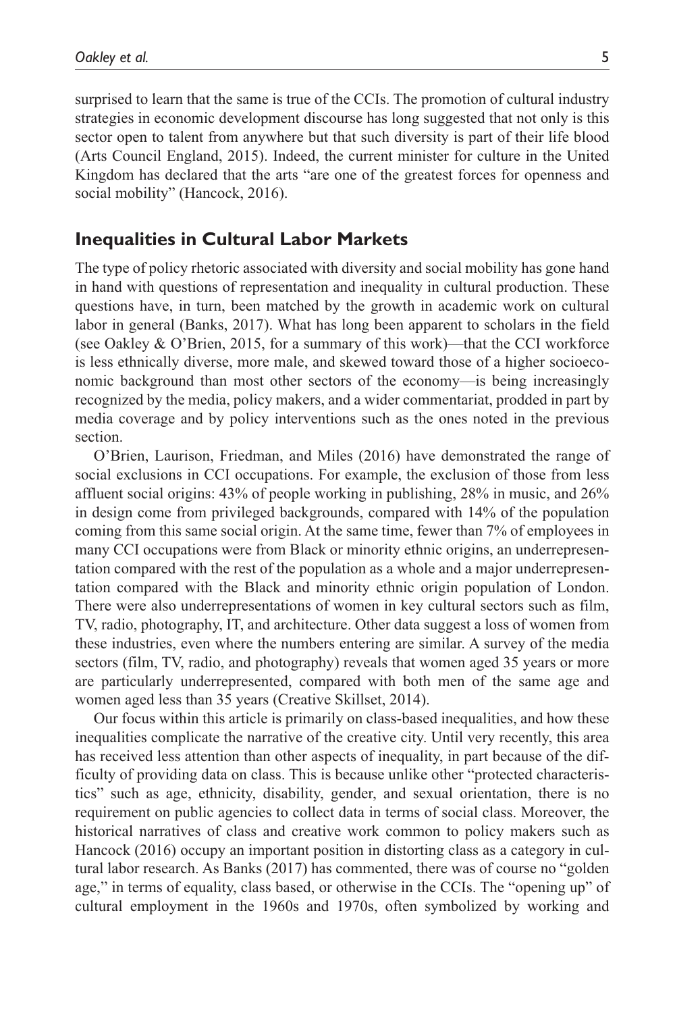surprised to learn that the same is true of the CCIs. The promotion of cultural industry strategies in economic development discourse has long suggested that not only is this sector open to talent from anywhere but that such diversity is part of their life blood (Arts Council England, 2015). Indeed, the current minister for culture in the United Kingdom has declared that the arts "are one of the greatest forces for openness and social mobility" (Hancock, 2016).

#### **Inequalities in Cultural Labor Markets**

The type of policy rhetoric associated with diversity and social mobility has gone hand in hand with questions of representation and inequality in cultural production. These questions have, in turn, been matched by the growth in academic work on cultural labor in general (Banks, 2017). What has long been apparent to scholars in the field (see Oakley & O'Brien, 2015, for a summary of this work)—that the CCI workforce is less ethnically diverse, more male, and skewed toward those of a higher socioeconomic background than most other sectors of the economy—is being increasingly recognized by the media, policy makers, and a wider commentariat, prodded in part by media coverage and by policy interventions such as the ones noted in the previous section.

O'Brien, Laurison, Friedman, and Miles (2016) have demonstrated the range of social exclusions in CCI occupations. For example, the exclusion of those from less affluent social origins: 43% of people working in publishing, 28% in music, and 26% in design come from privileged backgrounds, compared with 14% of the population coming from this same social origin. At the same time, fewer than 7% of employees in many CCI occupations were from Black or minority ethnic origins, an underrepresentation compared with the rest of the population as a whole and a major underrepresentation compared with the Black and minority ethnic origin population of London. There were also underrepresentations of women in key cultural sectors such as film, TV, radio, photography, IT, and architecture. Other data suggest a loss of women from these industries, even where the numbers entering are similar. A survey of the media sectors (film, TV, radio, and photography) reveals that women aged 35 years or more are particularly underrepresented, compared with both men of the same age and women aged less than 35 years (Creative Skillset, 2014).

Our focus within this article is primarily on class-based inequalities, and how these inequalities complicate the narrative of the creative city. Until very recently, this area has received less attention than other aspects of inequality, in part because of the difficulty of providing data on class. This is because unlike other "protected characteristics" such as age, ethnicity, disability, gender, and sexual orientation, there is no requirement on public agencies to collect data in terms of social class. Moreover, the historical narratives of class and creative work common to policy makers such as Hancock (2016) occupy an important position in distorting class as a category in cultural labor research. As Banks (2017) has commented, there was of course no "golden age," in terms of equality, class based, or otherwise in the CCIs. The "opening up" of cultural employment in the 1960s and 1970s, often symbolized by working and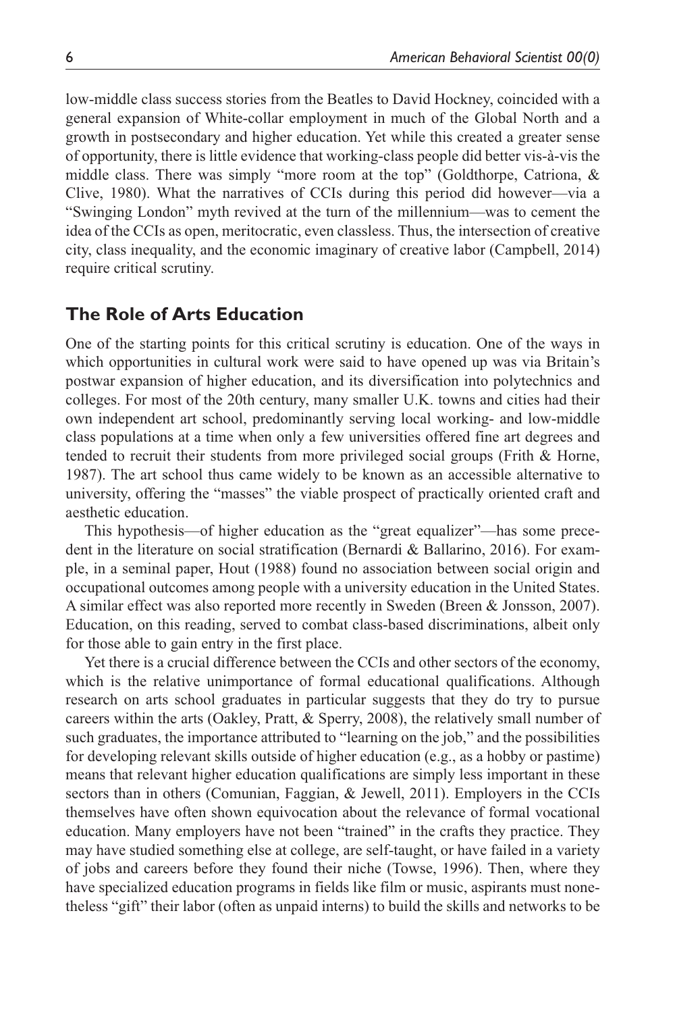low-middle class success stories from the Beatles to David Hockney, coincided with a general expansion of White-collar employment in much of the Global North and a growth in postsecondary and higher education. Yet while this created a greater sense of opportunity, there is little evidence that working-class people did better vis-à-vis the middle class. There was simply "more room at the top" (Goldthorpe, Catriona, & Clive, 1980). What the narratives of CCIs during this period did however—via a "Swinging London" myth revived at the turn of the millennium—was to cement the idea of the CCIs as open, meritocratic, even classless. Thus, the intersection of creative city, class inequality, and the economic imaginary of creative labor (Campbell, 2014) require critical scrutiny.

### **The Role of Arts Education**

One of the starting points for this critical scrutiny is education. One of the ways in which opportunities in cultural work were said to have opened up was via Britain's postwar expansion of higher education, and its diversification into polytechnics and colleges. For most of the 20th century, many smaller U.K. towns and cities had their own independent art school, predominantly serving local working- and low-middle class populations at a time when only a few universities offered fine art degrees and tended to recruit their students from more privileged social groups (Frith & Horne, 1987). The art school thus came widely to be known as an accessible alternative to university, offering the "masses" the viable prospect of practically oriented craft and aesthetic education.

This hypothesis—of higher education as the "great equalizer"—has some precedent in the literature on social stratification (Bernardi & Ballarino, 2016). For example, in a seminal paper, Hout (1988) found no association between social origin and occupational outcomes among people with a university education in the United States. A similar effect was also reported more recently in Sweden (Breen & Jonsson, 2007). Education, on this reading, served to combat class-based discriminations, albeit only for those able to gain entry in the first place.

Yet there is a crucial difference between the CCIs and other sectors of the economy, which is the relative unimportance of formal educational qualifications. Although research on arts school graduates in particular suggests that they do try to pursue careers within the arts (Oakley, Pratt, & Sperry, 2008), the relatively small number of such graduates, the importance attributed to "learning on the job," and the possibilities for developing relevant skills outside of higher education (e.g., as a hobby or pastime) means that relevant higher education qualifications are simply less important in these sectors than in others (Comunian, Faggian, & Jewell, 2011). Employers in the CCIs themselves have often shown equivocation about the relevance of formal vocational education. Many employers have not been "trained" in the crafts they practice. They may have studied something else at college, are self-taught, or have failed in a variety of jobs and careers before they found their niche (Towse, 1996). Then, where they have specialized education programs in fields like film or music, aspirants must nonetheless "gift" their labor (often as unpaid interns) to build the skills and networks to be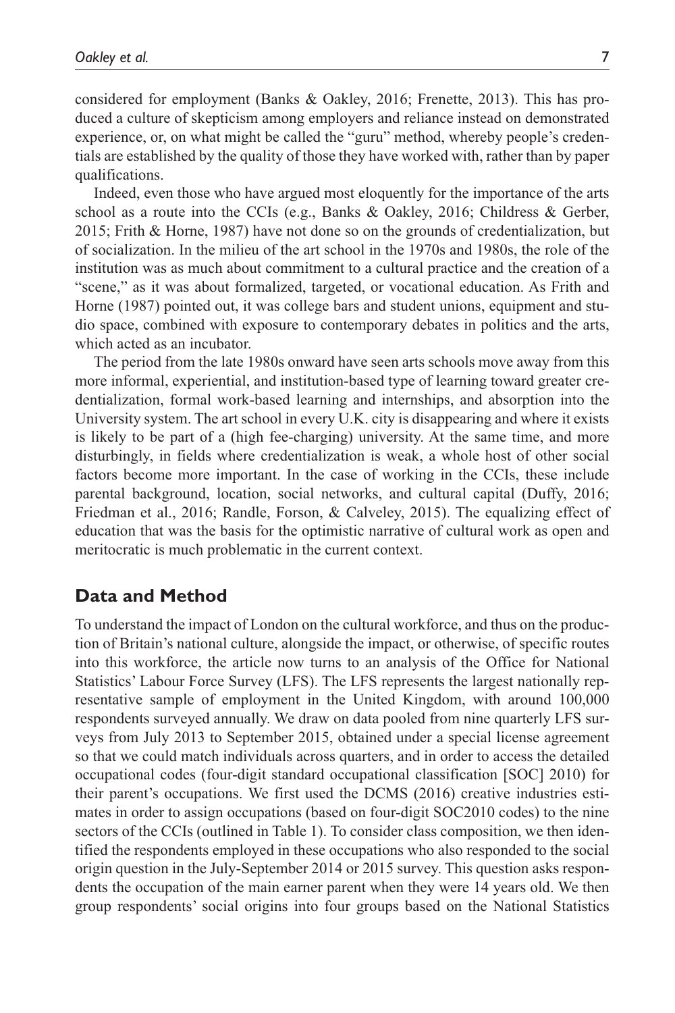considered for employment (Banks & Oakley, 2016; Frenette, 2013). This has produced a culture of skepticism among employers and reliance instead on demonstrated experience, or, on what might be called the "guru" method, whereby people's credentials are established by the quality of those they have worked with, rather than by paper qualifications.

Indeed, even those who have argued most eloquently for the importance of the arts school as a route into the CCIs (e.g., Banks & Oakley, 2016; Childress & Gerber, 2015; Frith & Horne, 1987) have not done so on the grounds of credentialization, but of socialization. In the milieu of the art school in the 1970s and 1980s, the role of the institution was as much about commitment to a cultural practice and the creation of a "scene," as it was about formalized, targeted, or vocational education. As Frith and Horne (1987) pointed out, it was college bars and student unions, equipment and studio space, combined with exposure to contemporary debates in politics and the arts, which acted as an incubator.

The period from the late 1980s onward have seen arts schools move away from this more informal, experiential, and institution-based type of learning toward greater credentialization, formal work-based learning and internships, and absorption into the University system. The art school in every U.K. city is disappearing and where it exists is likely to be part of a (high fee-charging) university. At the same time, and more disturbingly, in fields where credentialization is weak, a whole host of other social factors become more important. In the case of working in the CCIs, these include parental background, location, social networks, and cultural capital (Duffy, 2016; Friedman et al., 2016; Randle, Forson, & Calveley, 2015). The equalizing effect of education that was the basis for the optimistic narrative of cultural work as open and meritocratic is much problematic in the current context.

#### **Data and Method**

To understand the impact of London on the cultural workforce, and thus on the production of Britain's national culture, alongside the impact, or otherwise, of specific routes into this workforce, the article now turns to an analysis of the Office for National Statistics' Labour Force Survey (LFS). The LFS represents the largest nationally representative sample of employment in the United Kingdom, with around 100,000 respondents surveyed annually. We draw on data pooled from nine quarterly LFS surveys from July 2013 to September 2015, obtained under a special license agreement so that we could match individuals across quarters, and in order to access the detailed occupational codes (four-digit standard occupational classification [SOC] 2010) for their parent's occupations. We first used the DCMS (2016) creative industries estimates in order to assign occupations (based on four-digit SOC2010 codes) to the nine sectors of the CCIs (outlined in Table 1). To consider class composition, we then identified the respondents employed in these occupations who also responded to the social origin question in the July-September 2014 or 2015 survey. This question asks respondents the occupation of the main earner parent when they were 14 years old. We then group respondents' social origins into four groups based on the National Statistics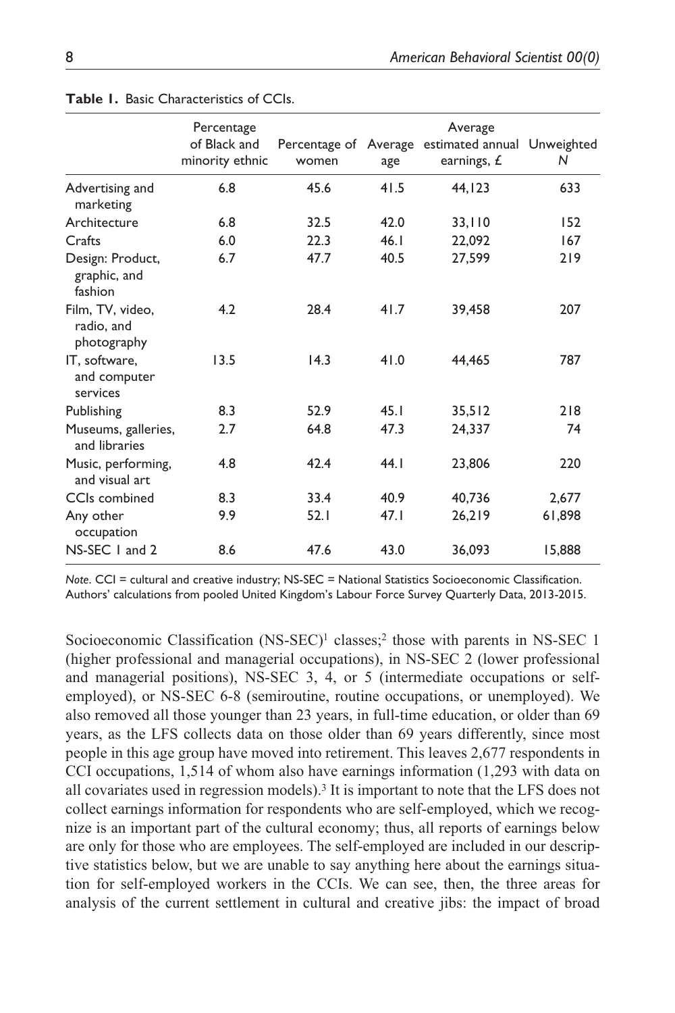|                                               | Percentage<br>of Black and<br>minority ethnic | women | age  | Average<br>Percentage of Average estimated annual Unweighted<br>earnings, £ | Ν      |
|-----------------------------------------------|-----------------------------------------------|-------|------|-----------------------------------------------------------------------------|--------|
| Advertising and<br>marketing                  | 6.8                                           | 45.6  | 41.5 | 44, 123                                                                     | 633    |
| Architecture                                  | 6.8                                           | 32.5  | 42.0 | 33,110                                                                      | 152    |
| Crafts                                        | 6.0                                           | 22.3  | 46.1 | 22,092                                                                      | 167    |
| Design: Product,<br>graphic, and<br>fashion   | 6.7                                           | 47.7  | 40.5 | 27,599                                                                      | 219    |
| Film, TV, video,<br>radio, and<br>photography | 4.2                                           | 28.4  | 41.7 | 39.458                                                                      | 207    |
| IT, software,<br>and computer<br>services     | 13.5                                          | 14.3  | 41.0 | 44.465                                                                      | 787    |
| Publishing                                    | 8.3                                           | 52.9  | 45.1 | 35,512                                                                      | 218    |
| Museums, galleries,<br>and libraries          | 2.7                                           | 64.8  | 47.3 | 24,337                                                                      | 74     |
| Music, performing,<br>and visual art          | 4.8                                           | 42.4  | 44.1 | 23,806                                                                      | 220    |
| CCI <sub>s</sub> combined                     | 8.3                                           | 33.4  | 40.9 | 40.736                                                                      | 2,677  |
| Any other<br>occupation                       | 9.9                                           | 52.1  | 47.1 | 26,219                                                                      | 61,898 |
| NS-SEC 1 and 2                                | 8.6                                           | 47.6  | 43.0 | 36,093                                                                      | 15,888 |

**Table 1.** Basic Characteristics of CCIs.

*Note*. CCI = cultural and creative industry; NS-SEC = National Statistics Socioeconomic Classification. Authors' calculations from pooled United Kingdom's Labour Force Survey Quarterly Data, 2013-2015.

Socioeconomic Classification  $(NS-SEC)^1$  classes;<sup>2</sup> those with parents in NS-SEC 1 (higher professional and managerial occupations), in NS-SEC 2 (lower professional and managerial positions), NS-SEC 3, 4, or 5 (intermediate occupations or selfemployed), or NS-SEC 6-8 (semiroutine, routine occupations, or unemployed). We also removed all those younger than 23 years, in full-time education, or older than 69 years, as the LFS collects data on those older than 69 years differently, since most people in this age group have moved into retirement. This leaves 2,677 respondents in CCI occupations, 1,514 of whom also have earnings information (1,293 with data on all covariates used in regression models).<sup>3</sup> It is important to note that the LFS does not collect earnings information for respondents who are self-employed, which we recognize is an important part of the cultural economy; thus, all reports of earnings below are only for those who are employees. The self-employed are included in our descriptive statistics below, but we are unable to say anything here about the earnings situation for self-employed workers in the CCIs. We can see, then, the three areas for analysis of the current settlement in cultural and creative jibs: the impact of broad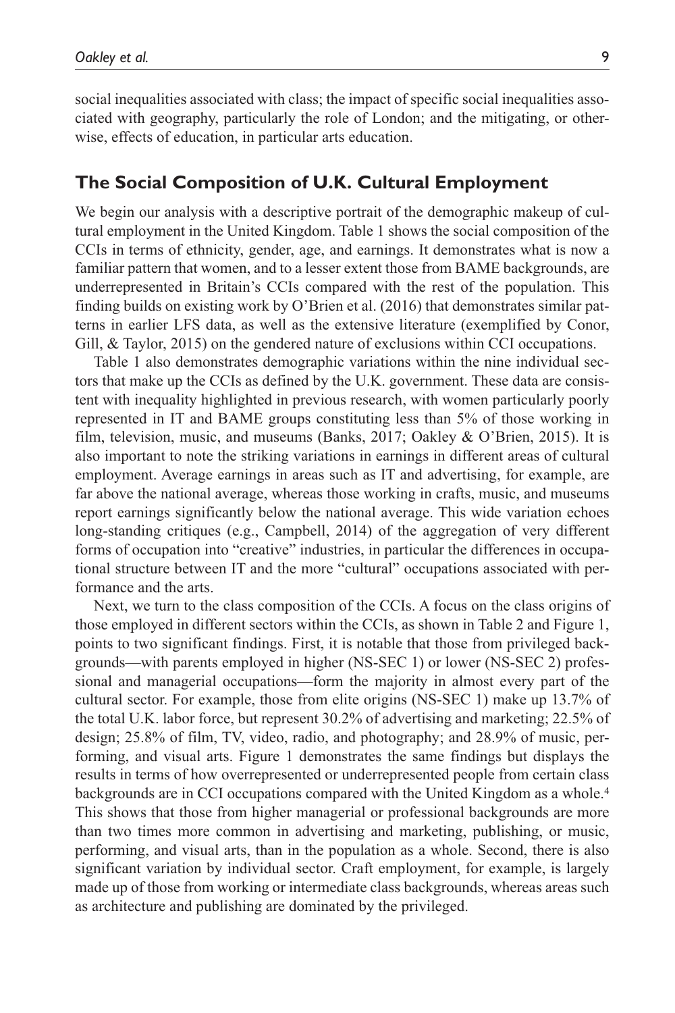social inequalities associated with class; the impact of specific social inequalities associated with geography, particularly the role of London; and the mitigating, or otherwise, effects of education, in particular arts education.

#### **The Social Composition of U.K. Cultural Employment**

We begin our analysis with a descriptive portrait of the demographic makeup of cultural employment in the United Kingdom. Table 1 shows the social composition of the CCIs in terms of ethnicity, gender, age, and earnings. It demonstrates what is now a familiar pattern that women, and to a lesser extent those from BAME backgrounds, are underrepresented in Britain's CCIs compared with the rest of the population. This finding builds on existing work by O'Brien et al. (2016) that demonstrates similar patterns in earlier LFS data, as well as the extensive literature (exemplified by Conor, Gill, & Taylor, 2015) on the gendered nature of exclusions within CCI occupations.

Table 1 also demonstrates demographic variations within the nine individual sectors that make up the CCIs as defined by the U.K. government. These data are consistent with inequality highlighted in previous research, with women particularly poorly represented in IT and BAME groups constituting less than 5% of those working in film, television, music, and museums (Banks, 2017; Oakley & O'Brien, 2015). It is also important to note the striking variations in earnings in different areas of cultural employment. Average earnings in areas such as IT and advertising, for example, are far above the national average, whereas those working in crafts, music, and museums report earnings significantly below the national average. This wide variation echoes long-standing critiques (e.g., Campbell, 2014) of the aggregation of very different forms of occupation into "creative" industries, in particular the differences in occupational structure between IT and the more "cultural" occupations associated with performance and the arts.

Next, we turn to the class composition of the CCIs. A focus on the class origins of those employed in different sectors within the CCIs, as shown in Table 2 and Figure 1, points to two significant findings. First, it is notable that those from privileged backgrounds—with parents employed in higher (NS-SEC 1) or lower (NS-SEC 2) professional and managerial occupations—form the majority in almost every part of the cultural sector. For example, those from elite origins (NS-SEC 1) make up 13.7% of the total U.K. labor force, but represent 30.2% of advertising and marketing; 22.5% of design; 25.8% of film, TV, video, radio, and photography; and 28.9% of music, performing, and visual arts. Figure 1 demonstrates the same findings but displays the results in terms of how overrepresented or underrepresented people from certain class backgrounds are in CCI occupations compared with the United Kingdom as a whole.4 This shows that those from higher managerial or professional backgrounds are more than two times more common in advertising and marketing, publishing, or music, performing, and visual arts, than in the population as a whole. Second, there is also significant variation by individual sector. Craft employment, for example, is largely made up of those from working or intermediate class backgrounds, whereas areas such as architecture and publishing are dominated by the privileged.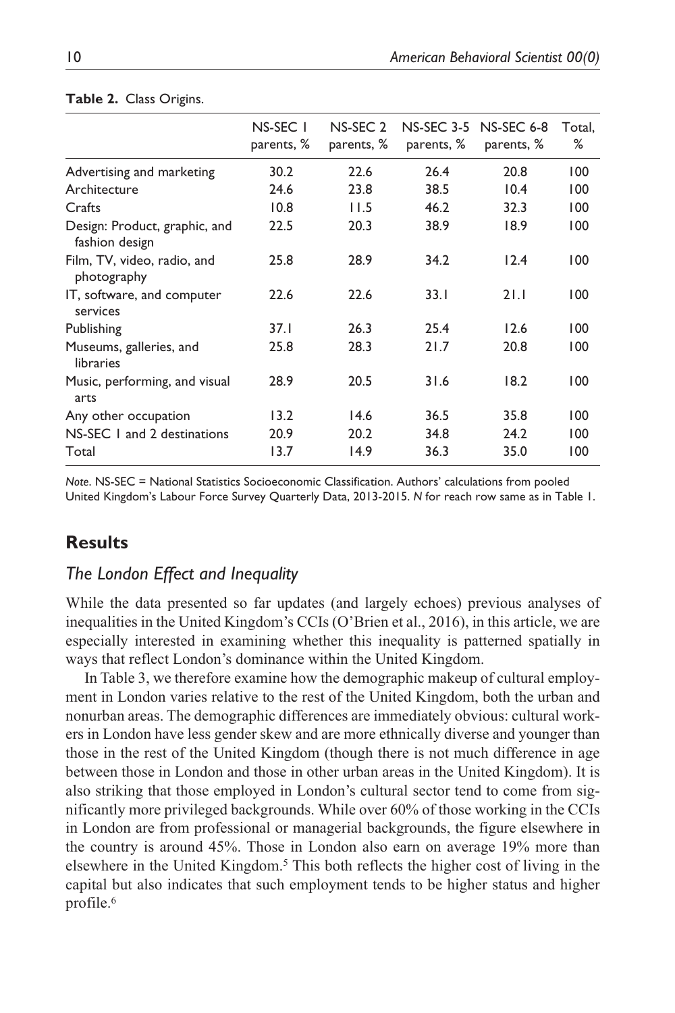|                                                 | NS-SEC I<br>parents, % | NS-SEC 2<br>parents, % | <b>NS-SEC 3-5</b><br>parents, % | <b>NS-SEC 6-8</b><br>parents, % | Total,<br>℅ |
|-------------------------------------------------|------------------------|------------------------|---------------------------------|---------------------------------|-------------|
| Advertising and marketing                       | 30.2                   | 22.6                   | 26.4                            | 20.8                            | 100         |
| Architecture                                    | 24.6                   | 23.8                   | 38.5                            | 10.4                            | 100         |
| Crafts                                          | 10.8                   | 11.5                   | 46.2                            | 32.3                            | 100         |
| Design: Product, graphic, and<br>fashion design | 22.5                   | 20.3                   | 38.9                            | 18.9                            | 100         |
| Film, TV, video, radio, and<br>photography      | 25.8                   | 28.9                   | 34.2                            | 12.4                            | 100         |
| IT, software, and computer<br>services          | 22.6                   | 22.6                   | 33.1                            | 21.1                            | 100         |
| Publishing                                      | 37.1                   | 26.3                   | 25.4                            | 12.6                            | 100         |
| Museums, galleries, and<br>libraries            | 25.8                   | 28.3                   | 21.7                            | 20.8                            | 100         |
| Music, performing, and visual<br>arts           | 28.9                   | 20.5                   | 31.6                            | 18.2                            | 100         |
| Any other occupation                            | 13.2                   | 14.6                   | 36.5                            | 35.8                            | 100         |
| NS-SEC 1 and 2 destinations                     | 20.9                   | 20.2                   | 34.8                            | 24.2                            | 100         |
| Total                                           | 13.7                   | 14.9                   | 36.3                            | 35.0                            | 100         |

#### **Table 2.** Class Origins.

*Note*. NS-SEC = National Statistics Socioeconomic Classification. Authors' calculations from pooled United Kingdom's Labour Force Survey Quarterly Data, 2013-2015. *N* for reach row same as in Table 1.

# **Results**

#### *The London Effect and Inequality*

While the data presented so far updates (and largely echoes) previous analyses of inequalities in the United Kingdom's CCIs (O'Brien et al., 2016), in this article, we are especially interested in examining whether this inequality is patterned spatially in ways that reflect London's dominance within the United Kingdom.

In Table 3, we therefore examine how the demographic makeup of cultural employment in London varies relative to the rest of the United Kingdom, both the urban and nonurban areas. The demographic differences are immediately obvious: cultural workers in London have less gender skew and are more ethnically diverse and younger than those in the rest of the United Kingdom (though there is not much difference in age between those in London and those in other urban areas in the United Kingdom). It is also striking that those employed in London's cultural sector tend to come from significantly more privileged backgrounds. While over 60% of those working in the CCIs in London are from professional or managerial backgrounds, the figure elsewhere in the country is around 45%. Those in London also earn on average 19% more than elsewhere in the United Kingdom.5 This both reflects the higher cost of living in the capital but also indicates that such employment tends to be higher status and higher profile.6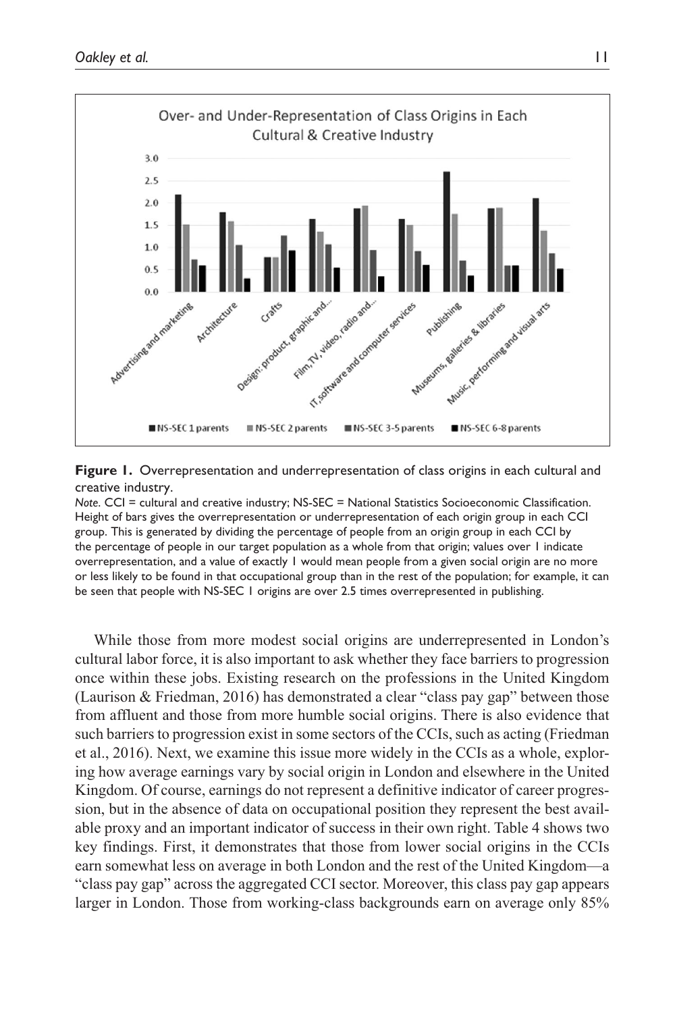

**Figure 1.** Overrepresentation and underrepresentation of class origins in each cultural and creative industry.

*Note.* CCI = cultural and creative industry; NS-SEC = National Statistics Socioeconomic Classification. Height of bars gives the overrepresentation or underrepresentation of each origin group in each CCI group. This is generated by dividing the percentage of people from an origin group in each CCI by the percentage of people in our target population as a whole from that origin; values over 1 indicate overrepresentation, and a value of exactly 1 would mean people from a given social origin are no more or less likely to be found in that occupational group than in the rest of the population; for example, it can be seen that people with NS-SEC 1 origins are over 2.5 times overrepresented in publishing.

While those from more modest social origins are underrepresented in London's cultural labor force, it is also important to ask whether they face barriers to progression once within these jobs. Existing research on the professions in the United Kingdom (Laurison & Friedman, 2016) has demonstrated a clear "class pay gap" between those from affluent and those from more humble social origins. There is also evidence that such barriers to progression exist in some sectors of the CCIs, such as acting (Friedman et al., 2016). Next, we examine this issue more widely in the CCIs as a whole, exploring how average earnings vary by social origin in London and elsewhere in the United Kingdom. Of course, earnings do not represent a definitive indicator of career progression, but in the absence of data on occupational position they represent the best available proxy and an important indicator of success in their own right. Table 4 shows two key findings. First, it demonstrates that those from lower social origins in the CCIs earn somewhat less on average in both London and the rest of the United Kingdom—a "class pay gap" across the aggregated CCI sector. Moreover, this class pay gap appears larger in London. Those from working-class backgrounds earn on average only 85%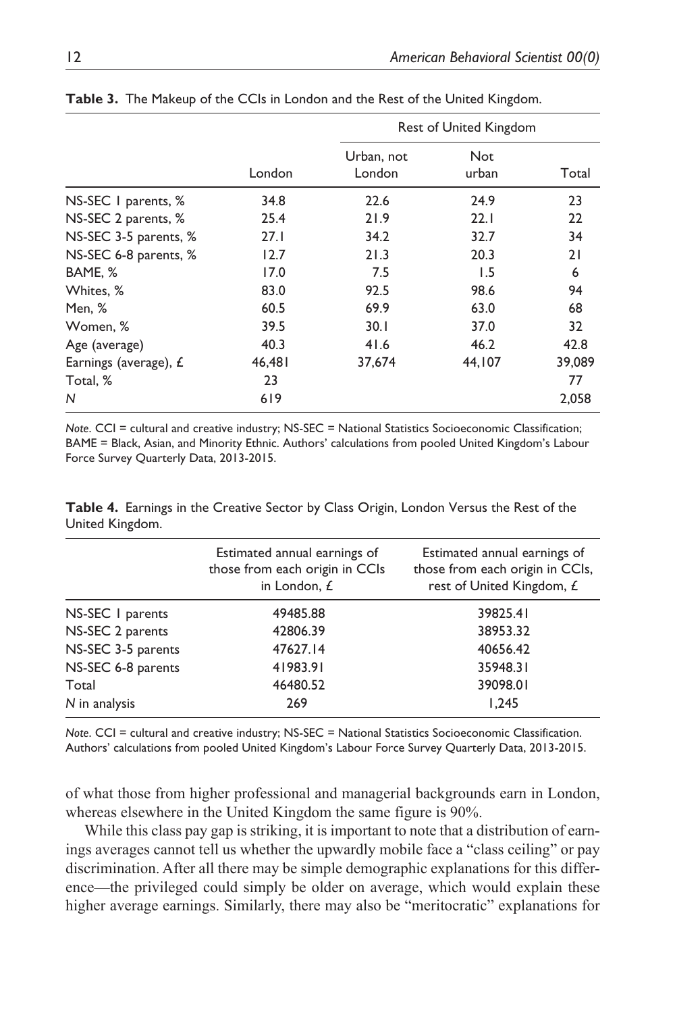|                       |        | Rest of United Kingdom |                     |        |
|-----------------------|--------|------------------------|---------------------|--------|
|                       | London | Urban, not<br>London   | <b>Not</b><br>urban | Total  |
| NS-SEC I parents, %   | 34.8   | 22.6                   | 24.9                | 23     |
| NS-SEC 2 parents, %   | 25.4   | 21.9                   | 22.1                | 22     |
| NS-SEC 3-5 parents, % | 27.1   | 34.2                   | 32.7                | 34     |
| NS-SEC 6-8 parents, % | 12.7   | 21.3                   | 20.3                | 21     |
| BAME, %               | 17.0   | 7.5                    | 1.5                 | 6      |
| Whites, %             | 83.0   | 92.5                   | 98.6                | 94     |
| Men, %                | 60.5   | 69.9                   | 63.0                | 68     |
| Women, %              | 39.5   | 30.1                   | 37.0                | 32     |
| Age (average)         | 40.3   | 41.6                   | 46.2                | 42.8   |
| Earnings (average), £ | 46,481 | 37.674                 | 44,107              | 39,089 |
| Total, %              | 23     |                        |                     | 77     |
| N                     | 619    |                        |                     | 2,058  |

**Table 3.** The Makeup of the CCIs in London and the Rest of the United Kingdom.

*Note*. CCI = cultural and creative industry; NS-SEC = National Statistics Socioeconomic Classification; BAME = Black, Asian, and Minority Ethnic. Authors' calculations from pooled United Kingdom's Labour Force Survey Quarterly Data, 2013-2015.

**Table 4.** Earnings in the Creative Sector by Class Origin, London Versus the Rest of the United Kingdom.

|                    | Estimated annual earnings of<br>those from each origin in CCIs<br>in London, £ | Estimated annual earnings of<br>those from each origin in CCIs,<br>rest of United Kingdom, £ |
|--------------------|--------------------------------------------------------------------------------|----------------------------------------------------------------------------------------------|
| NS-SEC I parents   | 49485.88                                                                       | 39825.41                                                                                     |
| NS-SEC 2 parents   | 42806.39                                                                       | 38953.32                                                                                     |
| NS-SEC 3-5 parents | 47627.14                                                                       | 40656.42                                                                                     |
| NS-SEC 6-8 parents | 41983.91                                                                       | 35948.31                                                                                     |
| Total              | 46480.52                                                                       | 39098.01                                                                                     |
| $N$ in analysis    | 269                                                                            | 1,245                                                                                        |

*Note.* CCI = cultural and creative industry; NS-SEC = National Statistics Socioeconomic Classification. Authors' calculations from pooled United Kingdom's Labour Force Survey Quarterly Data, 2013-2015.

of what those from higher professional and managerial backgrounds earn in London, whereas elsewhere in the United Kingdom the same figure is 90%.

While this class pay gap is striking, it is important to note that a distribution of earnings averages cannot tell us whether the upwardly mobile face a "class ceiling" or pay discrimination. After all there may be simple demographic explanations for this difference—the privileged could simply be older on average, which would explain these higher average earnings. Similarly, there may also be "meritocratic" explanations for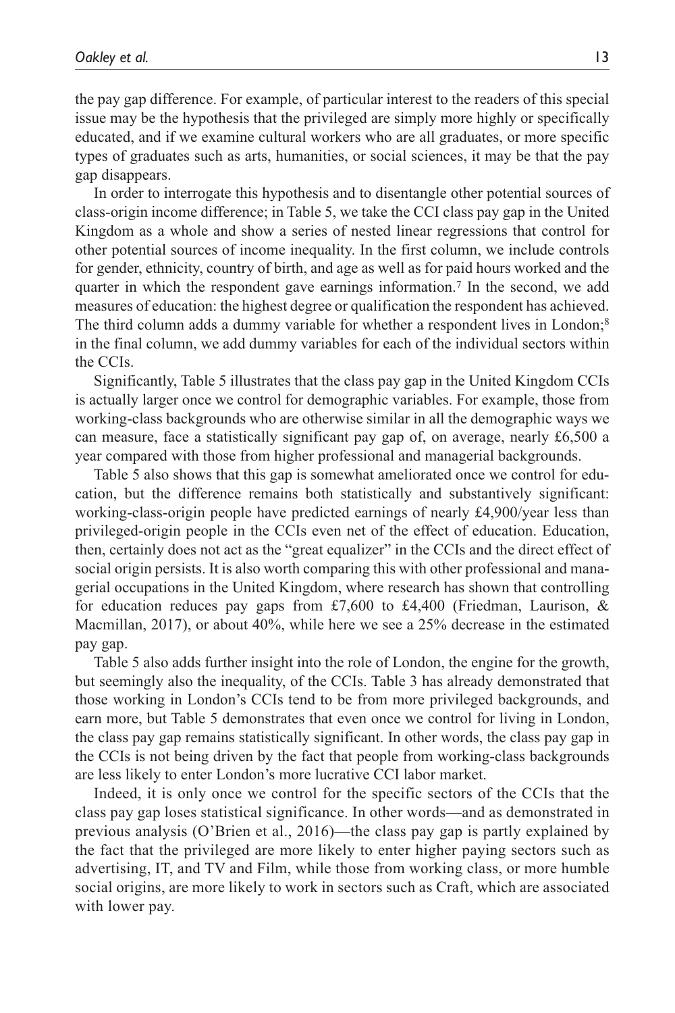the pay gap difference. For example, of particular interest to the readers of this special issue may be the hypothesis that the privileged are simply more highly or specifically educated, and if we examine cultural workers who are all graduates, or more specific types of graduates such as arts, humanities, or social sciences, it may be that the pay gap disappears.

In order to interrogate this hypothesis and to disentangle other potential sources of class-origin income difference; in Table 5, we take the CCI class pay gap in the United Kingdom as a whole and show a series of nested linear regressions that control for other potential sources of income inequality. In the first column, we include controls for gender, ethnicity, country of birth, and age as well as for paid hours worked and the quarter in which the respondent gave earnings information.7 In the second, we add measures of education: the highest degree or qualification the respondent has achieved. The third column adds a dummy variable for whether a respondent lives in London; $8$ in the final column, we add dummy variables for each of the individual sectors within the CCIs.

Significantly, Table 5 illustrates that the class pay gap in the United Kingdom CCIs is actually larger once we control for demographic variables. For example, those from working-class backgrounds who are otherwise similar in all the demographic ways we can measure, face a statistically significant pay gap of, on average, nearly £6,500 a year compared with those from higher professional and managerial backgrounds.

Table 5 also shows that this gap is somewhat ameliorated once we control for education, but the difference remains both statistically and substantively significant: working-class-origin people have predicted earnings of nearly £4,900/year less than privileged-origin people in the CCIs even net of the effect of education. Education, then, certainly does not act as the "great equalizer" in the CCIs and the direct effect of social origin persists. It is also worth comparing this with other professional and managerial occupations in the United Kingdom, where research has shown that controlling for education reduces pay gaps from £7,600 to £4,400 (Friedman, Laurison, & Macmillan, 2017), or about 40%, while here we see a 25% decrease in the estimated pay gap.

Table 5 also adds further insight into the role of London, the engine for the growth, but seemingly also the inequality, of the CCIs. Table 3 has already demonstrated that those working in London's CCIs tend to be from more privileged backgrounds, and earn more, but Table 5 demonstrates that even once we control for living in London, the class pay gap remains statistically significant. In other words, the class pay gap in the CCIs is not being driven by the fact that people from working-class backgrounds are less likely to enter London's more lucrative CCI labor market.

Indeed, it is only once we control for the specific sectors of the CCIs that the class pay gap loses statistical significance. In other words—and as demonstrated in previous analysis (O'Brien et al., 2016)—the class pay gap is partly explained by the fact that the privileged are more likely to enter higher paying sectors such as advertising, IT, and TV and Film, while those from working class, or more humble social origins, are more likely to work in sectors such as Craft, which are associated with lower pay.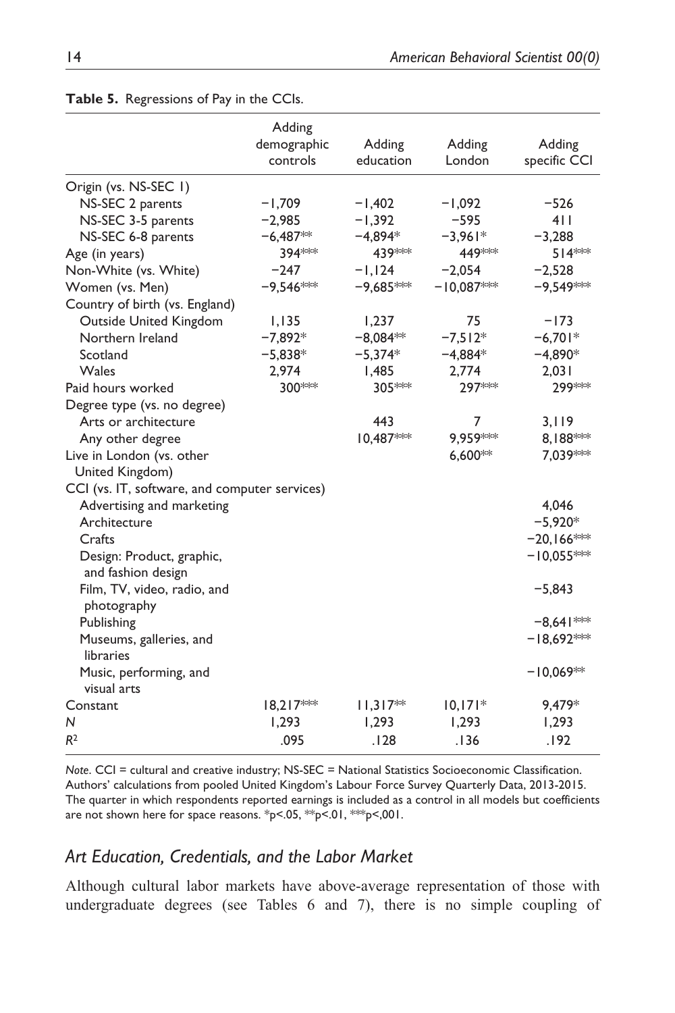|                                                 | Adding<br>demographic<br>controls | Adding<br>education | Adding<br>London | Adding<br>specific CCI |
|-------------------------------------------------|-----------------------------------|---------------------|------------------|------------------------|
| Origin (vs. NS-SEC 1)                           |                                   |                     |                  |                        |
| NS-SEC 2 parents                                | $-1,709$                          | $-1.402$            | $-1.092$         | -526                   |
| NS-SEC 3-5 parents                              | $-2,985$                          | $-1.392$            | $-595$           | 4 I I                  |
| NS-SEC 6-8 parents                              | $-6,487**$                        | $-4.894*$           | $-3.961*$        | $-3,288$               |
| Age (in years)                                  | 394***                            | 439***              | 449***           | 514***                 |
| Non-White (vs. White)                           | -247                              | $-1.124$            | $-2.054$         | $-2.528$               |
| Women (vs. Men)                                 | $-9,546***$                       | $-9,685***$         | $-10,087***$     | $-9,549***$            |
| Country of birth (vs. England)                  |                                   |                     |                  |                        |
| Outside United Kingdom                          | 1,135                             | 1.237               | 75               | $-173$                 |
| Northern Ireland                                | $-7.892*$                         | $-8.084**$          | $-7.512*$        | $-6,701*$              |
| Scotland                                        | $-5,838*$                         | $-5.374*$           | $-4.884*$        | $-4,890*$              |
| Wales                                           | 2,974                             | 1,485               | 2.774            | 2,031                  |
| Paid hours worked                               | 300***                            | 305***              | 297***           | 299***                 |
| Degree type (vs. no degree)                     |                                   |                     |                  |                        |
| Arts or architecture                            |                                   | 443                 | 7                | 3.119                  |
| Any other degree                                |                                   | 10,487***           | 9,959***         | 8,188***               |
| Live in London (vs. other                       |                                   |                     | $6,600**$        | 7,039***               |
| United Kingdom)                                 |                                   |                     |                  |                        |
| CCI (vs. IT, software, and computer services)   |                                   |                     |                  |                        |
| Advertising and marketing                       |                                   |                     |                  | 4,046                  |
| Architecture                                    |                                   |                     |                  | $-5,920*$              |
| Crafts                                          |                                   |                     |                  | $-20,166$ ***          |
| Design: Product, graphic,<br>and fashion design |                                   |                     |                  | $-10,055***$           |
| Film, TV, video, radio, and<br>photography      |                                   |                     |                  | $-5,843$               |
| Publishing                                      |                                   |                     |                  | $-8,64$  ***           |
| Museums, galleries, and<br>libraries            |                                   |                     |                  | $-18.692***$           |
| Music, performing, and<br>visual arts           |                                   |                     |                  | $-10,069**$            |
| Constant                                        | $18.217***$                       | $11,317**$          | $10,171*$        | 9.479*                 |
| Ν                                               | 1,293                             | 1,293               | 1,293            | 1,293                  |
| R <sup>2</sup>                                  | .095                              | .128                | .136             | .192                   |

**Table 5.** Regressions of Pay in the CCIs.

*Note.* CCI = cultural and creative industry; NS-SEC = National Statistics Socioeconomic Classification. Authors' calculations from pooled United Kingdom's Labour Force Survey Quarterly Data, 2013-2015. The quarter in which respondents reported earnings is included as a control in all models but coefficients are not shown here for space reasons. \*p<.05, \*\*p<.01, \*\*\*p<.001.

### *Art Education, Credentials, and the Labor Market*

Although cultural labor markets have above-average representation of those with undergraduate degrees (see Tables 6 and 7), there is no simple coupling of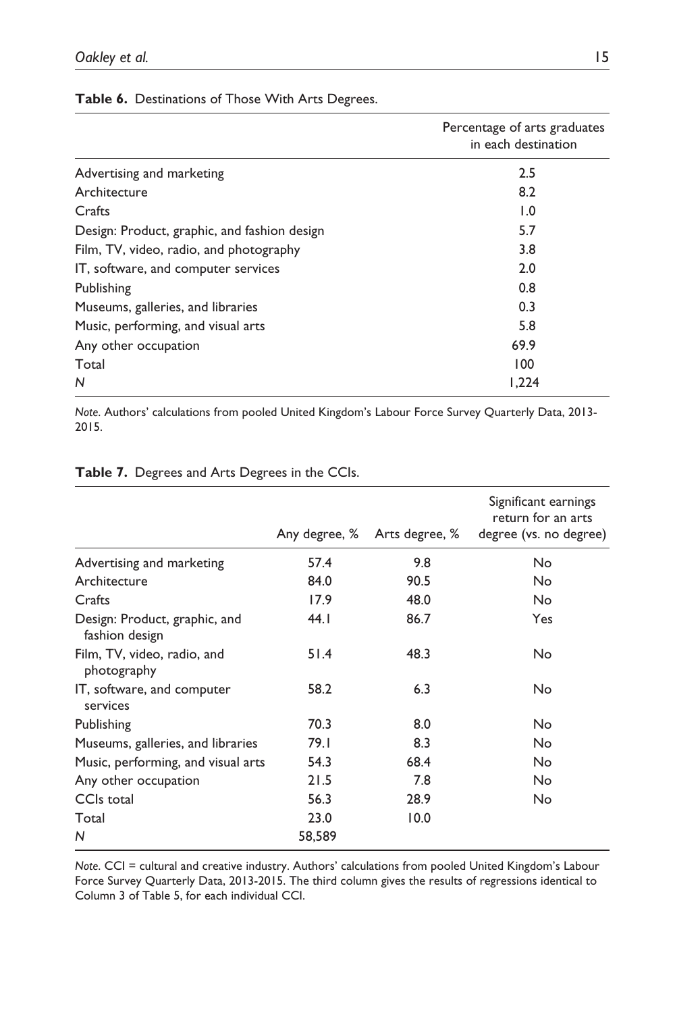|                                              | Percentage of arts graduates<br>in each destination |
|----------------------------------------------|-----------------------------------------------------|
| Advertising and marketing                    | 2.5                                                 |
| Architecture                                 | 8.2                                                 |
| Crafts                                       | 1.0                                                 |
| Design: Product, graphic, and fashion design | 5.7                                                 |
| Film, TV, video, radio, and photography      | 3.8                                                 |
| IT, software, and computer services          | 2.0                                                 |
| Publishing                                   | 0.8                                                 |
| Museums, galleries, and libraries            | 0.3                                                 |
| Music, performing, and visual arts           | 5.8                                                 |
| Any other occupation                         | 69.9                                                |
| Total                                        | 100                                                 |
| N                                            | 1.224                                               |

#### **Table 6.** Destinations of Those With Arts Degrees.

*Note*. Authors' calculations from pooled United Kingdom's Labour Force Survey Quarterly Data, 2013- 2015.

|                                                 |        | Any degree, % Arts degree, % | Significant earnings<br>return for an arts<br>degree (vs. no degree) |
|-------------------------------------------------|--------|------------------------------|----------------------------------------------------------------------|
| Advertising and marketing                       | 57.4   | 9.8                          | No                                                                   |
| Architecture                                    | 84.0   | 90.5                         | No.                                                                  |
| Crafts                                          | 17.9   | 48.0                         | No                                                                   |
| Design: Product, graphic, and<br>fashion design | 44.1   | 86.7                         | Yes                                                                  |
| Film, TV, video, radio, and<br>photography      | 51.4   | 48.3                         | No                                                                   |
| IT, software, and computer<br>services          | 58.2   | 6.3                          | No                                                                   |
| Publishing                                      | 70.3   | 8.0                          | <b>No</b>                                                            |
| Museums, galleries, and libraries               | 79.I   | 8.3                          | No                                                                   |
| Music, performing, and visual arts              | 54.3   | 68.4                         | <b>No</b>                                                            |
| Any other occupation                            | 21.5   | 7.8                          | No                                                                   |
| CCI <sub>s</sub> total                          | 56.3   | 28.9                         | No                                                                   |
| Total                                           | 23.0   | 10.0                         |                                                                      |
| N                                               | 58,589 |                              |                                                                      |

#### **Table 7.** Degrees and Arts Degrees in the CCIs.

*Note*. CCI = cultural and creative industry. Authors' calculations from pooled United Kingdom's Labour Force Survey Quarterly Data, 2013-2015. The third column gives the results of regressions identical to Column 3 of Table 5, for each individual CCI.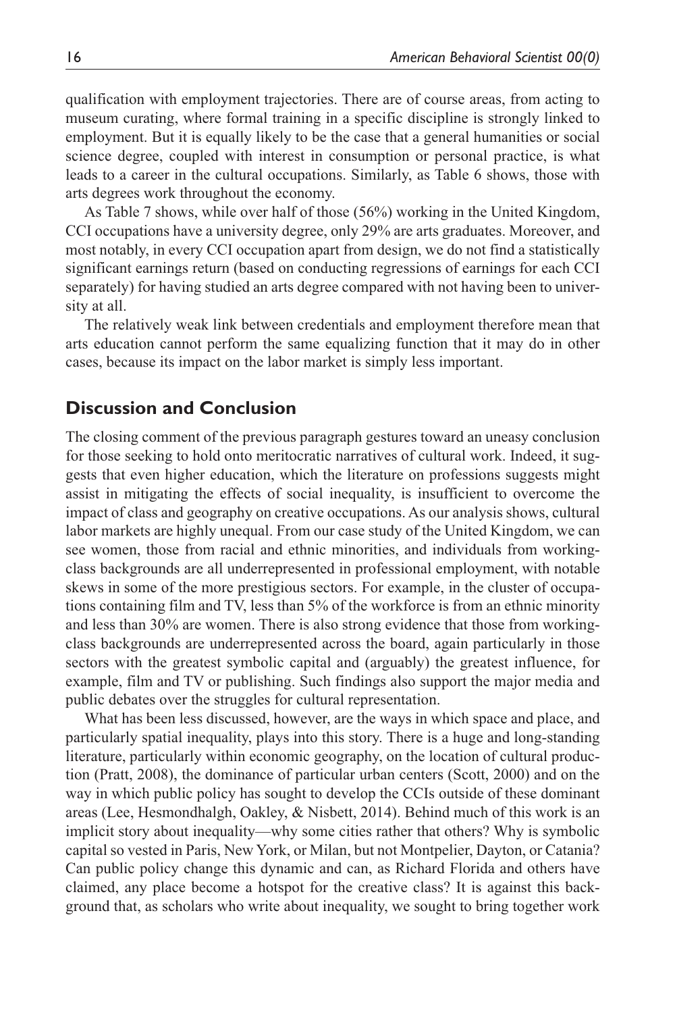qualification with employment trajectories. There are of course areas, from acting to museum curating, where formal training in a specific discipline is strongly linked to employment. But it is equally likely to be the case that a general humanities or social science degree, coupled with interest in consumption or personal practice, is what leads to a career in the cultural occupations. Similarly, as Table 6 shows, those with arts degrees work throughout the economy.

As Table 7 shows, while over half of those (56%) working in the United Kingdom, CCI occupations have a university degree, only 29% are arts graduates. Moreover, and most notably, in every CCI occupation apart from design, we do not find a statistically significant earnings return (based on conducting regressions of earnings for each CCI separately) for having studied an arts degree compared with not having been to university at all.

The relatively weak link between credentials and employment therefore mean that arts education cannot perform the same equalizing function that it may do in other cases, because its impact on the labor market is simply less important.

#### **Discussion and Conclusion**

The closing comment of the previous paragraph gestures toward an uneasy conclusion for those seeking to hold onto meritocratic narratives of cultural work. Indeed, it suggests that even higher education, which the literature on professions suggests might assist in mitigating the effects of social inequality, is insufficient to overcome the impact of class and geography on creative occupations. As our analysis shows, cultural labor markets are highly unequal. From our case study of the United Kingdom, we can see women, those from racial and ethnic minorities, and individuals from workingclass backgrounds are all underrepresented in professional employment, with notable skews in some of the more prestigious sectors. For example, in the cluster of occupations containing film and TV, less than 5% of the workforce is from an ethnic minority and less than 30% are women. There is also strong evidence that those from workingclass backgrounds are underrepresented across the board, again particularly in those sectors with the greatest symbolic capital and (arguably) the greatest influence, for example, film and TV or publishing. Such findings also support the major media and public debates over the struggles for cultural representation.

What has been less discussed, however, are the ways in which space and place, and particularly spatial inequality, plays into this story. There is a huge and long-standing literature, particularly within economic geography, on the location of cultural production (Pratt, 2008), the dominance of particular urban centers (Scott, 2000) and on the way in which public policy has sought to develop the CCIs outside of these dominant areas (Lee, Hesmondhalgh, Oakley, & Nisbett, 2014). Behind much of this work is an implicit story about inequality—why some cities rather that others? Why is symbolic capital so vested in Paris, New York, or Milan, but not Montpelier, Dayton, or Catania? Can public policy change this dynamic and can, as Richard Florida and others have claimed, any place become a hotspot for the creative class? It is against this background that, as scholars who write about inequality, we sought to bring together work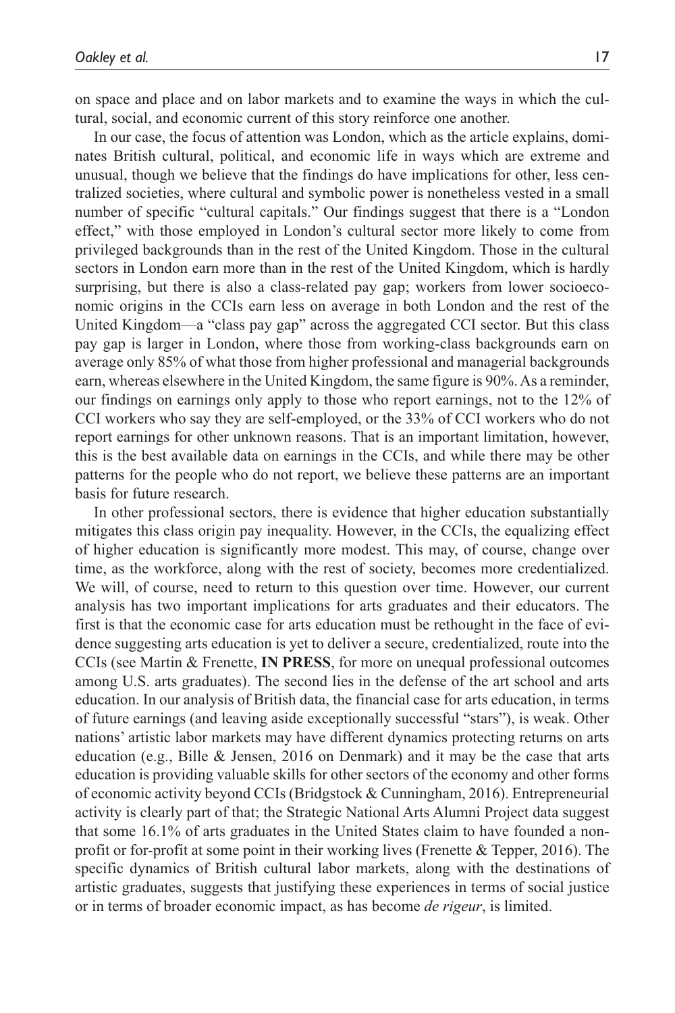on space and place and on labor markets and to examine the ways in which the cultural, social, and economic current of this story reinforce one another.

In our case, the focus of attention was London, which as the article explains, dominates British cultural, political, and economic life in ways which are extreme and unusual, though we believe that the findings do have implications for other, less centralized societies, where cultural and symbolic power is nonetheless vested in a small number of specific "cultural capitals." Our findings suggest that there is a "London effect," with those employed in London's cultural sector more likely to come from privileged backgrounds than in the rest of the United Kingdom. Those in the cultural sectors in London earn more than in the rest of the United Kingdom, which is hardly surprising, but there is also a class-related pay gap; workers from lower socioeconomic origins in the CCIs earn less on average in both London and the rest of the United Kingdom—a "class pay gap" across the aggregated CCI sector. But this class pay gap is larger in London, where those from working-class backgrounds earn on average only 85% of what those from higher professional and managerial backgrounds earn, whereas elsewhere in the United Kingdom, the same figure is 90%. As a reminder, our findings on earnings only apply to those who report earnings, not to the 12% of CCI workers who say they are self-employed, or the 33% of CCI workers who do not report earnings for other unknown reasons. That is an important limitation, however, this is the best available data on earnings in the CCIs, and while there may be other patterns for the people who do not report, we believe these patterns are an important basis for future research.

In other professional sectors, there is evidence that higher education substantially mitigates this class origin pay inequality. However, in the CCIs, the equalizing effect of higher education is significantly more modest. This may, of course, change over time, as the workforce, along with the rest of society, becomes more credentialized. We will, of course, need to return to this question over time. However, our current analysis has two important implications for arts graduates and their educators. The first is that the economic case for arts education must be rethought in the face of evidence suggesting arts education is yet to deliver a secure, credentialized, route into the CCIs (see Martin & Frenette, **IN PRESS**, for more on unequal professional outcomes among U.S. arts graduates). The second lies in the defense of the art school and arts education. In our analysis of British data, the financial case for arts education, in terms of future earnings (and leaving aside exceptionally successful "stars"), is weak. Other nations' artistic labor markets may have different dynamics protecting returns on arts education (e.g., Bille & Jensen, 2016 on Denmark) and it may be the case that arts education is providing valuable skills for other sectors of the economy and other forms of economic activity beyond CCIs (Bridgstock & Cunningham, 2016). Entrepreneurial activity is clearly part of that; the Strategic National Arts Alumni Project data suggest that some 16.1% of arts graduates in the United States claim to have founded a nonprofit or for-profit at some point in their working lives (Frenette & Tepper, 2016). The specific dynamics of British cultural labor markets, along with the destinations of artistic graduates, suggests that justifying these experiences in terms of social justice or in terms of broader economic impact, as has become *de rigeur*, is limited.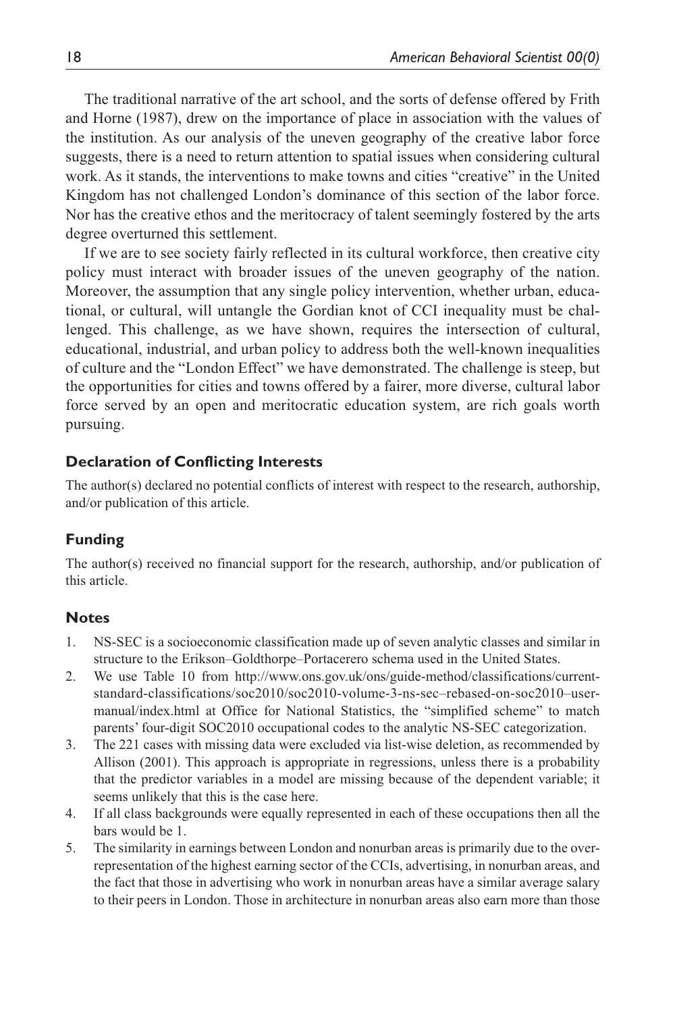The traditional narrative of the art school, and the sorts of defense offered by Frith and Horne (1987), drew on the importance of place in association with the values of the institution. As our analysis of the uneven geography of the creative labor force suggests, there is a need to return attention to spatial issues when considering cultural work. As it stands, the interventions to make towns and cities "creative" in the United Kingdom has not challenged London's dominance of this section of the labor force. Nor has the creative ethos and the meritocracy of talent seemingly fostered by the arts degree overturned this settlement.

If we are to see society fairly reflected in its cultural workforce, then creative city policy must interact with broader issues of the uneven geography of the nation. Moreover, the assumption that any single policy intervention, whether urban, educational, or cultural, will untangle the Gordian knot of CCI inequality must be challenged. This challenge, as we have shown, requires the intersection of cultural, educational, industrial, and urban policy to address both the well-known inequalities of culture and the "London Effect" we have demonstrated. The challenge is steep, but the opportunities for cities and towns offered by a fairer, more diverse, cultural labor force served by an open and meritocratic education system, are rich goals worth pursuing.

#### **Declaration of Conflicting Interests**

The author(s) declared no potential conflicts of interest with respect to the research, authorship, and/or publication of this article.

#### **Funding**

The author(s) received no financial support for the research, authorship, and/or publication of this article.

#### **Notes**

- 1. NS-SEC is a socioeconomic classification made up of seven analytic classes and similar in structure to the Erikson–Goldthorpe–Portacerero schema used in the United States.
- 2. We use Table 10 from http://www.ons.gov.uk/ons/guide-method/classifications/currentstandard-classifications/soc2010/soc2010-volume-3-ns-sec–rebased-on-soc2010–usermanual/index.html at Office for National Statistics, the "simplified scheme" to match parents' four-digit SOC2010 occupational codes to the analytic NS-SEC categorization.
- 3. The 221 cases with missing data were excluded via list-wise deletion, as recommended by Allison (2001). This approach is appropriate in regressions, unless there is a probability that the predictor variables in a model are missing because of the dependent variable; it seems unlikely that this is the case here.
- 4. If all class backgrounds were equally represented in each of these occupations then all the bars would be 1.
- 5. The similarity in earnings between London and nonurban areas is primarily due to the overrepresentation of the highest earning sector of the CCIs, advertising, in nonurban areas, and the fact that those in advertising who work in nonurban areas have a similar average salary to their peers in London. Those in architecture in nonurban areas also earn more than those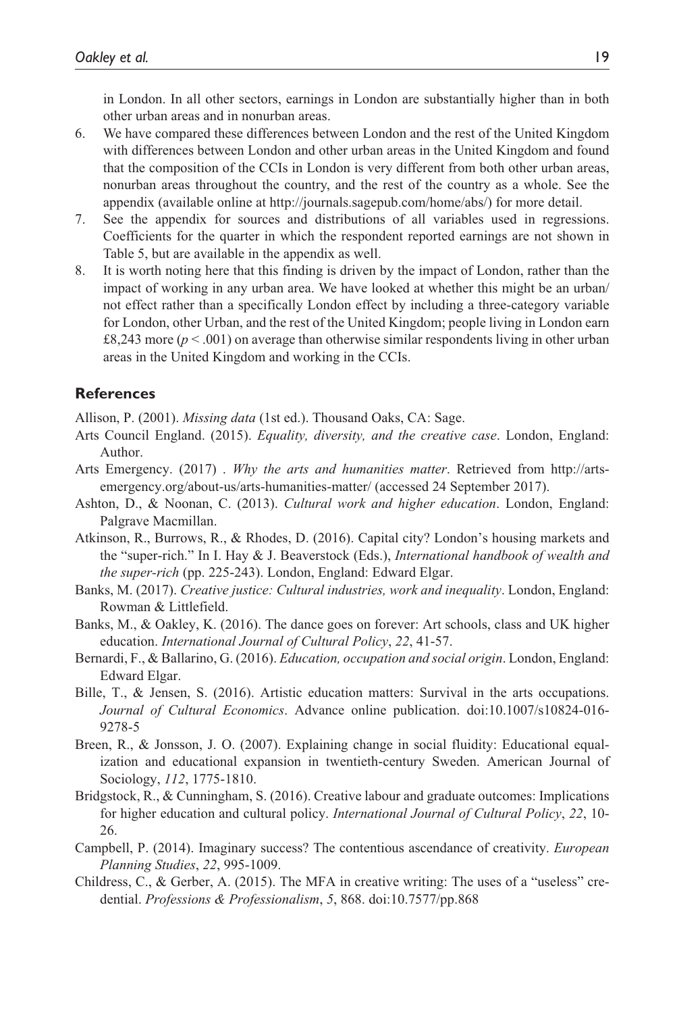in London. In all other sectors, earnings in London are substantially higher than in both other urban areas and in nonurban areas.

- 6. We have compared these differences between London and the rest of the United Kingdom with differences between London and other urban areas in the United Kingdom and found that the composition of the CCIs in London is very different from both other urban areas, nonurban areas throughout the country, and the rest of the country as a whole. See the appendix (available online at http://journals.sagepub.com/home/abs/) for more detail.
- 7. See the appendix for sources and distributions of all variables used in regressions. Coefficients for the quarter in which the respondent reported earnings are not shown in Table 5, but are available in the appendix as well.
- 8. It is worth noting here that this finding is driven by the impact of London, rather than the impact of working in any urban area. We have looked at whether this might be an urban/ not effect rather than a specifically London effect by including a three-category variable for London, other Urban, and the rest of the United Kingdom; people living in London earn £8,243 more  $(p < .001)$  on average than otherwise similar respondents living in other urban areas in the United Kingdom and working in the CCIs.

#### **References**

Allison, P. (2001). *Missing data* (1st ed.). Thousand Oaks, CA: Sage.

- Arts Council England. (2015). *Equality, diversity, and the creative case*. London, England: Author.
- Arts Emergency. (2017) . *Why the arts and humanities matter*. Retrieved from http://artsemergency.org/about-us/arts-humanities-matter/ (accessed 24 September 2017).
- Ashton, D., & Noonan, C. (2013). *Cultural work and higher education*. London, England: Palgrave Macmillan.
- Atkinson, R., Burrows, R., & Rhodes, D. (2016). Capital city? London's housing markets and the "super-rich." In I. Hay & J. Beaverstock (Eds.), *International handbook of wealth and the super-rich* (pp. 225-243). London, England: Edward Elgar.
- Banks, M. (2017). *Creative justice: Cultural industries, work and inequality*. London, England: Rowman & Littlefield.
- Banks, M., & Oakley, K. (2016). The dance goes on forever: Art schools, class and UK higher education. *International Journal of Cultural Policy*, *22*, 41-57.
- Bernardi, F., & Ballarino, G. (2016). *Education, occupation and social origin*. London, England: Edward Elgar.
- Bille, T., & Jensen, S. (2016). Artistic education matters: Survival in the arts occupations. *Journal of Cultural Economics*. Advance online publication. doi:10.1007/s10824-016- 9278-5
- Breen, R., & Jonsson, J. O. (2007). Explaining change in social fluidity: Educational equalization and educational expansion in twentieth-century Sweden. American Journal of Sociology, *112*, 1775-1810.
- Bridgstock, R., & Cunningham, S. (2016). Creative labour and graduate outcomes: Implications for higher education and cultural policy. *International Journal of Cultural Policy*, *22*, 10- 26.
- Campbell, P. (2014). Imaginary success? The contentious ascendance of creativity. *European Planning Studies*, *22*, 995-1009.
- Childress, C., & Gerber, A. (2015). The MFA in creative writing: The uses of a "useless" credential. *Professions & Professionalism*, *5*, 868. doi:10.7577/pp.868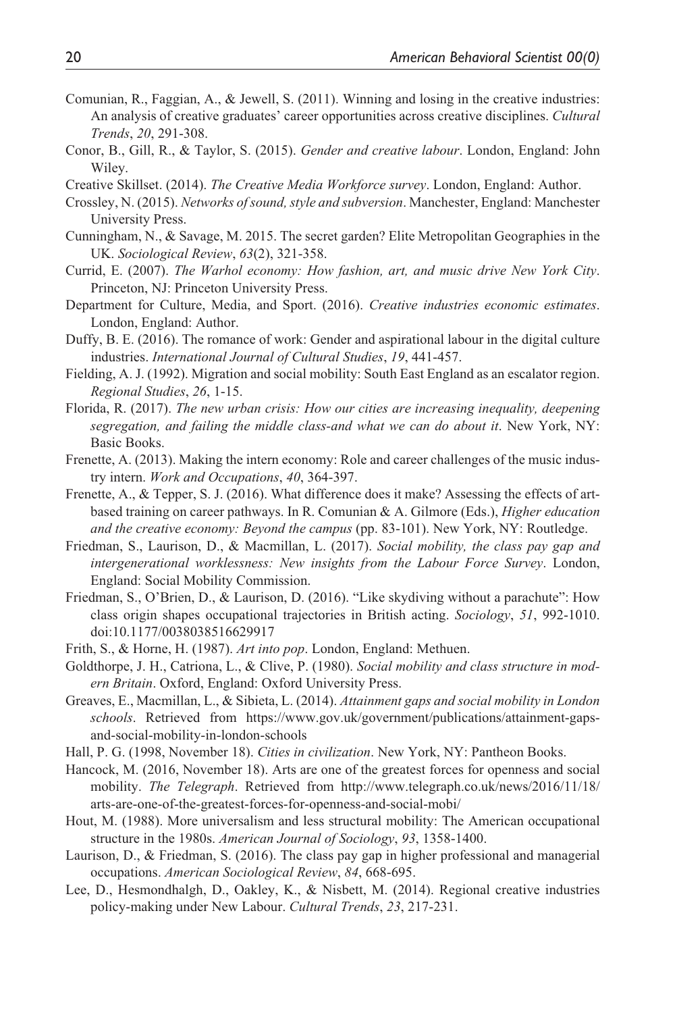- Comunian, R., Faggian, A., & Jewell, S. (2011). Winning and losing in the creative industries: An analysis of creative graduates' career opportunities across creative disciplines. *Cultural Trends*, *20*, 291-308.
- Conor, B., Gill, R., & Taylor, S. (2015). *Gender and creative labour*. London, England: John Wiley.
- Creative Skillset. (2014). *The Creative Media Workforce survey*. London, England: Author.
- Crossley, N. (2015). *Networks of sound, style and subversion*. Manchester, England: Manchester University Press.
- Cunningham, N., & Savage, M. 2015. The secret garden? Elite Metropolitan Geographies in the UK. *Sociological Review*, *63*(2), 321-358.
- Currid, E. (2007). *The Warhol economy: How fashion, art, and music drive New York City*. Princeton, NJ: Princeton University Press.
- Department for Culture, Media, and Sport. (2016). *Creative industries economic estimates*. London, England: Author.
- Duffy, B. E. (2016). The romance of work: Gender and aspirational labour in the digital culture industries. *International Journal of Cultural Studies*, *19*, 441-457.
- Fielding, A. J. (1992). Migration and social mobility: South East England as an escalator region. *Regional Studies*, *26*, 1-15.
- Florida, R. (2017). *The new urban crisis: How our cities are increasing inequality, deepening segregation, and failing the middle class-and what we can do about it*. New York, NY: Basic Books.
- Frenette, A. (2013). Making the intern economy: Role and career challenges of the music industry intern. *Work and Occupations*, *40*, 364-397.
- Frenette, A., & Tepper, S. J. (2016). What difference does it make? Assessing the effects of artbased training on career pathways. In R. Comunian & A. Gilmore (Eds.), *Higher education and the creative economy: Beyond the campus* (pp. 83-101). New York, NY: Routledge.
- Friedman, S., Laurison, D., & Macmillan, L. (2017). *Social mobility, the class pay gap and intergenerational worklessness: New insights from the Labour Force Survey*. London, England: Social Mobility Commission.
- Friedman, S., O'Brien, D., & Laurison, D. (2016). "Like skydiving without a parachute": How class origin shapes occupational trajectories in British acting. *Sociology*, *51*, 992-1010. doi:10.1177/0038038516629917
- Frith, S., & Horne, H. (1987). *Art into pop*. London, England: Methuen.
- Goldthorpe, J. H., Catriona, L., & Clive, P. (1980). *Social mobility and class structure in modern Britain*. Oxford, England: Oxford University Press.
- Greaves, E., Macmillan, L., & Sibieta, L. (2014). *Attainment gaps and social mobility in London schools*. Retrieved from https://www.gov.uk/government/publications/attainment-gapsand-social-mobility-in-london-schools
- Hall, P. G. (1998, November 18). *Cities in civilization*. New York, NY: Pantheon Books.
- Hancock, M. (2016, November 18). Arts are one of the greatest forces for openness and social mobility. *The Telegraph*. Retrieved from http://www.telegraph.co.uk/news/2016/11/18/ arts-are-one-of-the-greatest-forces-for-openness-and-social-mobi/
- Hout, M. (1988). More universalism and less structural mobility: The American occupational structure in the 1980s. *American Journal of Sociology*, *93*, 1358-1400.
- Laurison, D., & Friedman, S. (2016). The class pay gap in higher professional and managerial occupations. *American Sociological Review*, *84*, 668-695.
- Lee, D., Hesmondhalgh, D., Oakley, K., & Nisbett, M. (2014). Regional creative industries policy-making under New Labour. *Cultural Trends*, *23*, 217-231.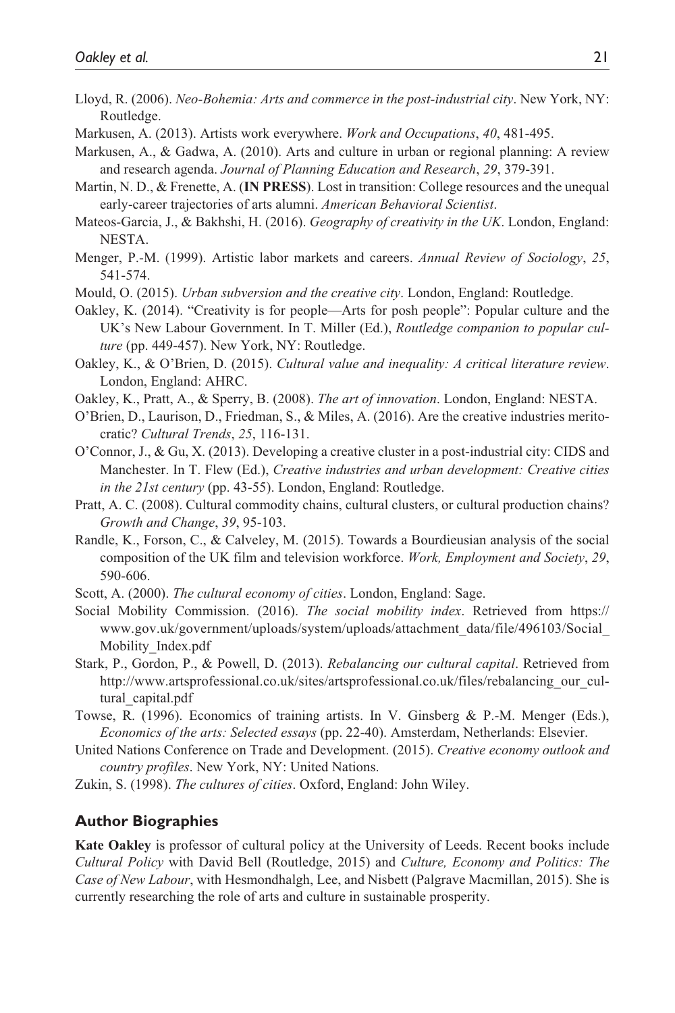- Lloyd, R. (2006). *Neo-Bohemia: Arts and commerce in the post-industrial city*. New York, NY: Routledge.
- Markusen, A. (2013). Artists work everywhere. *Work and Occupations*, *40*, 481-495.
- Markusen, A., & Gadwa, A. (2010). Arts and culture in urban or regional planning: A review and research agenda. *Journal of Planning Education and Research*, *29*, 379-391.
- Martin, N. D., & Frenette, A. (**IN PRESS**). Lost in transition: College resources and the unequal early-career trajectories of arts alumni. *American Behavioral Scientist*.
- Mateos-Garcia, J., & Bakhshi, H. (2016). *Geography of creativity in the UK*. London, England: NESTA.
- Menger, P.-M. (1999). Artistic labor markets and careers. *Annual Review of Sociology*, *25*, 541-574.
- Mould, O. (2015). *Urban subversion and the creative city*. London, England: Routledge.
- Oakley, K. (2014). "Creativity is for people—Arts for posh people": Popular culture and the UK's New Labour Government. In T. Miller (Ed.), *Routledge companion to popular culture* (pp. 449-457). New York, NY: Routledge.
- Oakley, K., & O'Brien, D. (2015). *Cultural value and inequality: A critical literature review*. London, England: AHRC.
- Oakley, K., Pratt, A., & Sperry, B. (2008). *The art of innovation*. London, England: NESTA.
- O'Brien, D., Laurison, D., Friedman, S., & Miles, A. (2016). Are the creative industries meritocratic? *Cultural Trends*, *25*, 116-131.
- O'Connor, J., & Gu, X. (2013). Developing a creative cluster in a post-industrial city: CIDS and Manchester. In T. Flew (Ed.), *Creative industries and urban development: Creative cities in the 21st century* (pp. 43-55). London, England: Routledge.
- Pratt, A. C. (2008). Cultural commodity chains, cultural clusters, or cultural production chains? *Growth and Change*, *39*, 95-103.
- Randle, K., Forson, C., & Calveley, M. (2015). Towards a Bourdieusian analysis of the social composition of the UK film and television workforce. *Work, Employment and Society*, *29*, 590-606.
- Scott, A. (2000). *The cultural economy of cities*. London, England: Sage.
- Social Mobility Commission. (2016). *The social mobility index*. Retrieved from https:// www.gov.uk/government/uploads/system/uploads/attachment\_data/file/496103/Social\_ Mobility\_Index.pdf
- Stark, P., Gordon, P., & Powell, D. (2013). *Rebalancing our cultural capital*. Retrieved from http://www.artsprofessional.co.uk/sites/artsprofessional.co.uk/files/rebalancing\_our\_cultural\_capital.pdf
- Towse, R. (1996). Economics of training artists. In V. Ginsberg & P.-M. Menger (Eds.), *Economics of the arts: Selected essays* (pp. 22-40). Amsterdam, Netherlands: Elsevier.
- United Nations Conference on Trade and Development. (2015). *Creative economy outlook and country profiles*. New York, NY: United Nations.
- Zukin, S. (1998). *The cultures of cities*. Oxford, England: John Wiley.

#### **Author Biographies**

**Kate Oakley** is professor of cultural policy at the University of Leeds. Recent books include *Cultural Policy* with David Bell (Routledge, 2015) and *Culture, Economy and Politics: The Case of New Labour*, with Hesmondhalgh, Lee, and Nisbett (Palgrave Macmillan, 2015). She is currently researching the role of arts and culture in sustainable prosperity.